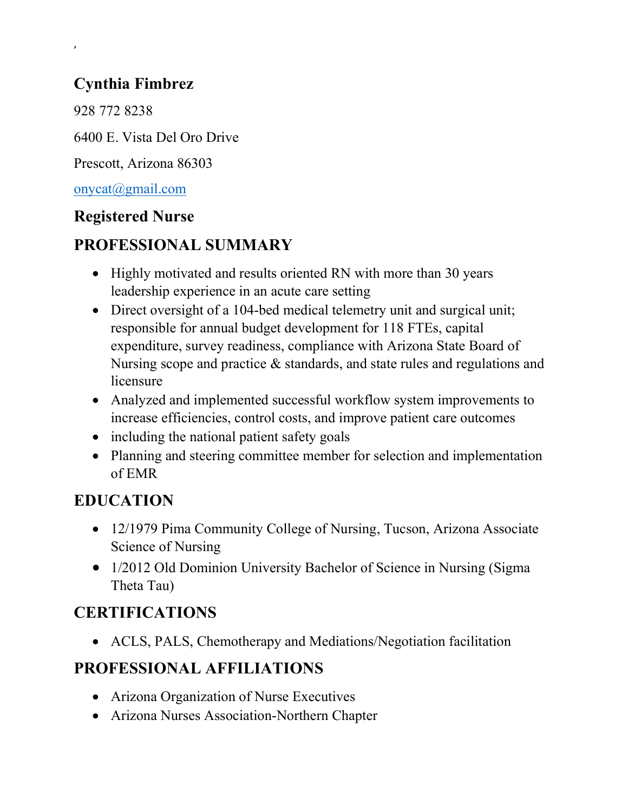## Cynthia Fimbrez

928 772 8238

,

6400 E. Vista Del Oro Drive

Prescott, Arizona 86303

onycat@gmail.com

#### Registered Nurse

## PROFESSIONAL SUMMARY

- Highly motivated and results oriented RN with more than 30 years leadership experience in an acute care setting
- Direct oversight of a 104-bed medical telemetry unit and surgical unit; responsible for annual budget development for 118 FTEs, capital expenditure, survey readiness, compliance with Arizona State Board of Nursing scope and practice & standards, and state rules and regulations and licensure
- Analyzed and implemented successful workflow system improvements to increase efficiencies, control costs, and improve patient care outcomes
- including the national patient safety goals
- Planning and steering committee member for selection and implementation of EMR

## EDUCATION

- 12/1979 Pima Community College of Nursing, Tucson, Arizona Associate Science of Nursing
- 1/2012 Old Dominion University Bachelor of Science in Nursing (Sigma) Theta Tau)

# CERTIFICATIONS

ACLS, PALS, Chemotherapy and Mediations/Negotiation facilitation

## PROFESSIONAL AFFILIATIONS

- Arizona Organization of Nurse Executives
- Arizona Nurses Association-Northern Chapter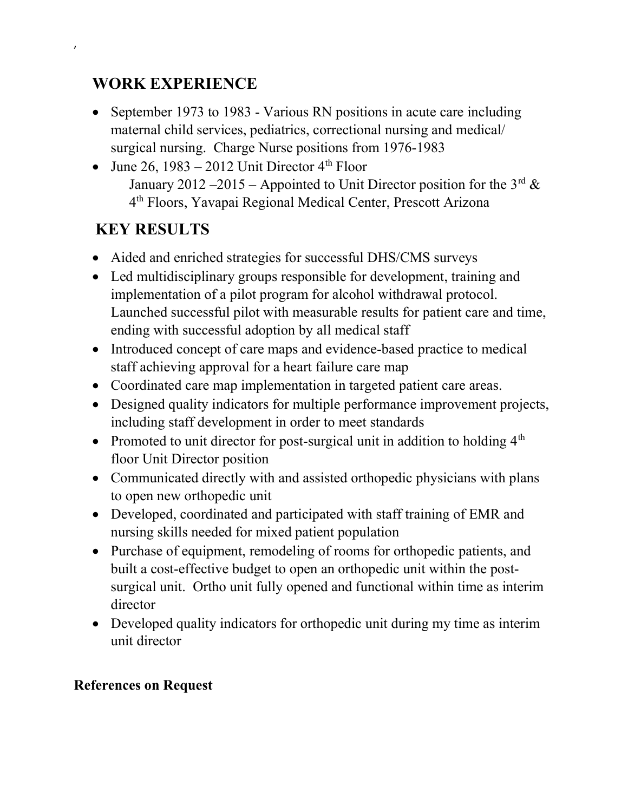#### WORK EXPERIENCE

,

- September 1973 to 1983 Various RN positions in acute care including maternal child services, pediatrics, correctional nursing and medical/ surgical nursing. Charge Nurse positions from 1976-1983
- June 26, 1983 2012 Unit Director  $4<sup>th</sup>$  Floor January 2012 –2015 – Appointed to Unit Director position for the  $3<sup>rd</sup>$  & 4 th Floors, Yavapai Regional Medical Center, Prescott Arizona

## KEY RESULTS

- Aided and enriched strategies for successful DHS/CMS surveys
- Led multidisciplinary groups responsible for development, training and implementation of a pilot program for alcohol withdrawal protocol. Launched successful pilot with measurable results for patient care and time, ending with successful adoption by all medical staff
- Introduced concept of care maps and evidence-based practice to medical staff achieving approval for a heart failure care map
- Coordinated care map implementation in targeted patient care areas.
- Designed quality indicators for multiple performance improvement projects, including staff development in order to meet standards
- Promoted to unit director for post-surgical unit in addition to holding  $4<sup>th</sup>$ floor Unit Director position
- Communicated directly with and assisted orthopedic physicians with plans to open new orthopedic unit
- Developed, coordinated and participated with staff training of EMR and nursing skills needed for mixed patient population
- Purchase of equipment, remodeling of rooms for orthopedic patients, and built a cost-effective budget to open an orthopedic unit within the postsurgical unit. Ortho unit fully opened and functional within time as interim director
- Developed quality indicators for orthopedic unit during my time as interim unit director

#### References on Request